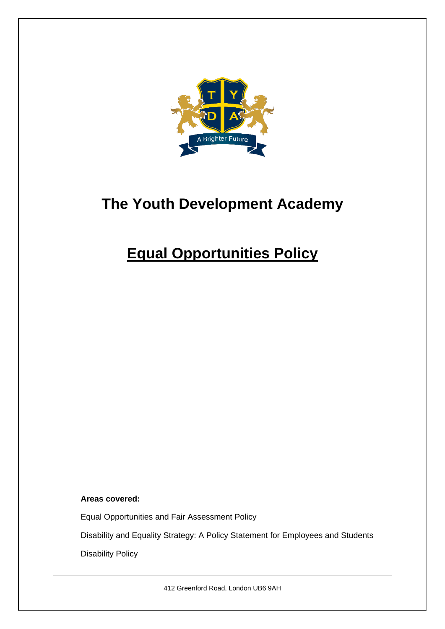

# **The Youth Development Academy**

# **Equal Opportunities Policy**

**Areas covered:** 

Equal Opportunities and Fair Assessment Policy

Disability and Equality Strategy: A Policy Statement for Employees and Students

Disability Policy

412 Greenford Road, London UB6 9AH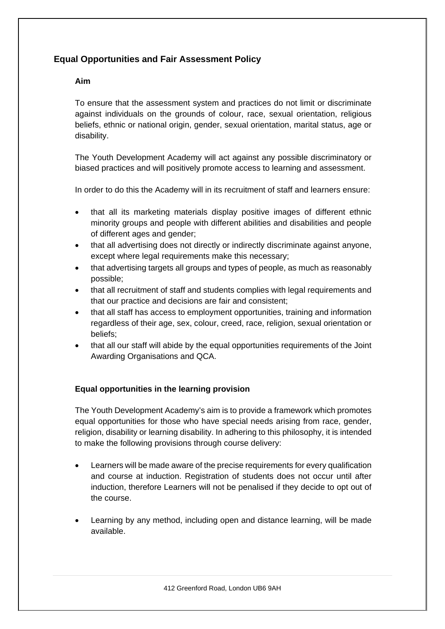## **Equal Opportunities and Fair Assessment Policy**

### **Aim**

To ensure that the assessment system and practices do not limit or discriminate against individuals on the grounds of colour, race, sexual orientation, religious beliefs, ethnic or national origin, gender, sexual orientation, marital status, age or disability.

The Youth Development Academy will act against any possible discriminatory or biased practices and will positively promote access to learning and assessment.

In order to do this the Academy will in its recruitment of staff and learners ensure:

- that all its marketing materials display positive images of different ethnic minority groups and people with different abilities and disabilities and people of different ages and gender;
- that all advertising does not directly or indirectly discriminate against anyone, except where legal requirements make this necessary;
- that advertising targets all groups and types of people, as much as reasonably possible;
- that all recruitment of staff and students complies with legal requirements and that our practice and decisions are fair and consistent;
- that all staff has access to employment opportunities, training and information regardless of their age, sex, colour, creed, race, religion, sexual orientation or beliefs;
- that all our staff will abide by the equal opportunities requirements of the Joint Awarding Organisations and QCA.

### **Equal opportunities in the learning provision**

The Youth Development Academy's aim is to provide a framework which promotes equal opportunities for those who have special needs arising from race, gender, religion, disability or learning disability. In adhering to this philosophy, it is intended to make the following provisions through course delivery:

- Learners will be made aware of the precise requirements for every qualification and course at induction. Registration of students does not occur until after induction, therefore Learners will not be penalised if they decide to opt out of the course.
- Learning by any method, including open and distance learning, will be made available.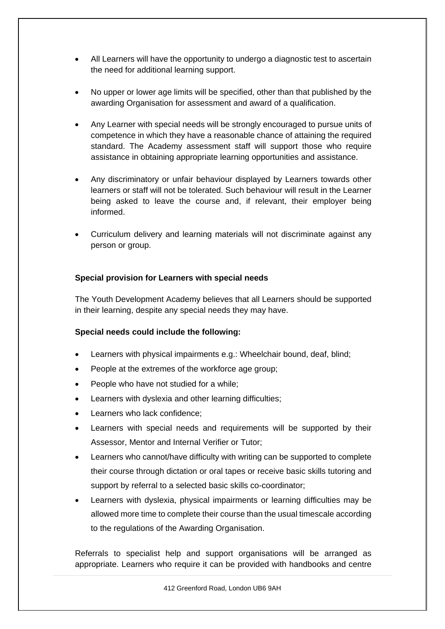- All Learners will have the opportunity to undergo a diagnostic test to ascertain the need for additional learning support.
- No upper or lower age limits will be specified, other than that published by the awarding Organisation for assessment and award of a qualification.
- Any Learner with special needs will be strongly encouraged to pursue units of competence in which they have a reasonable chance of attaining the required standard. The Academy assessment staff will support those who require assistance in obtaining appropriate learning opportunities and assistance.
- Any discriminatory or unfair behaviour displayed by Learners towards other learners or staff will not be tolerated. Such behaviour will result in the Learner being asked to leave the course and, if relevant, their employer being informed.
- Curriculum delivery and learning materials will not discriminate against any person or group.

### **Special provision for Learners with special needs**

The Youth Development Academy believes that all Learners should be supported in their learning, despite any special needs they may have.

### **Special needs could include the following:**

- Learners with physical impairments e.g.: Wheelchair bound, deaf, blind;
- People at the extremes of the workforce age group;
- People who have not studied for a while;
- Learners with dyslexia and other learning difficulties;
- Learners who lack confidence:
- Learners with special needs and requirements will be supported by their Assessor, Mentor and Internal Verifier or Tutor;
- Learners who cannot/have difficulty with writing can be supported to complete their course through dictation or oral tapes or receive basic skills tutoring and support by referral to a selected basic skills co-coordinator;
- Learners with dyslexia, physical impairments or learning difficulties may be allowed more time to complete their course than the usual timescale according to the regulations of the Awarding Organisation.

Referrals to specialist help and support organisations will be arranged as appropriate. Learners who require it can be provided with handbooks and centre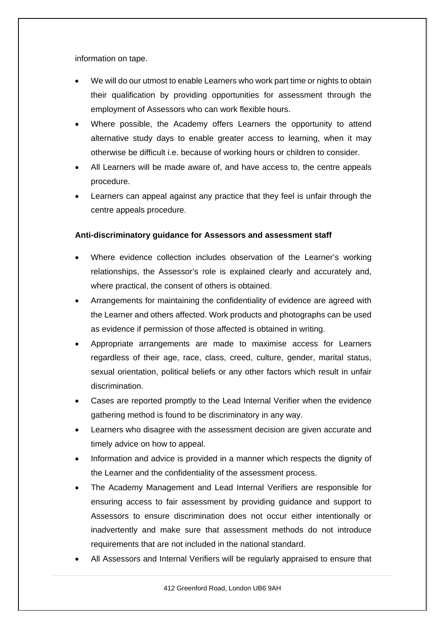information on tape.

- We will do our utmost to enable Learners who work part time or nights to obtain their qualification by providing opportunities for assessment through the employment of Assessors who can work flexible hours.
- Where possible, the Academy offers Learners the opportunity to attend alternative study days to enable greater access to learning, when it may otherwise be difficult i.e. because of working hours or children to consider.
- All Learners will be made aware of, and have access to, the centre appeals procedure.
- Learners can appeal against any practice that they feel is unfair through the centre appeals procedure.

### **Anti-discriminatory guidance for Assessors and assessment staff**

- Where evidence collection includes observation of the Learner's working relationships, the Assessor's role is explained clearly and accurately and, where practical, the consent of others is obtained.
- Arrangements for maintaining the confidentiality of evidence are agreed with the Learner and others affected. Work products and photographs can be used as evidence if permission of those affected is obtained in writing.
- Appropriate arrangements are made to maximise access for Learners regardless of their age, race, class, creed, culture, gender, marital status, sexual orientation, political beliefs or any other factors which result in unfair discrimination.
- Cases are reported promptly to the Lead Internal Verifier when the evidence gathering method is found to be discriminatory in any way.
- Learners who disagree with the assessment decision are given accurate and timely advice on how to appeal.
- Information and advice is provided in a manner which respects the dignity of the Learner and the confidentiality of the assessment process.
- The Academy Management and Lead Internal Verifiers are responsible for ensuring access to fair assessment by providing guidance and support to Assessors to ensure discrimination does not occur either intentionally or inadvertently and make sure that assessment methods do not introduce requirements that are not included in the national standard.
- All Assessors and Internal Verifiers will be regularly appraised to ensure that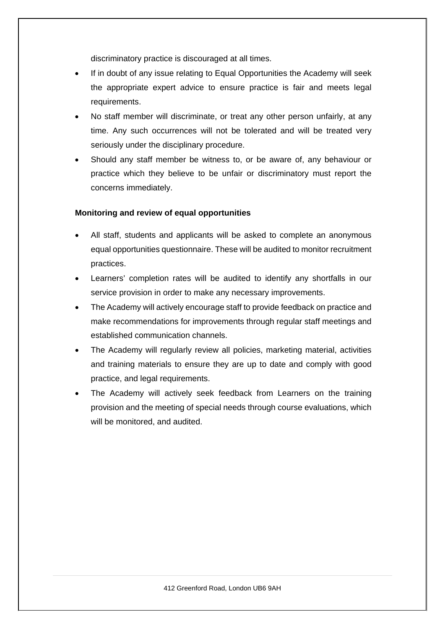discriminatory practice is discouraged at all times.

- If in doubt of any issue relating to Equal Opportunities the Academy will seek the appropriate expert advice to ensure practice is fair and meets legal requirements.
- No staff member will discriminate, or treat any other person unfairly, at any time. Any such occurrences will not be tolerated and will be treated very seriously under the disciplinary procedure.
- Should any staff member be witness to, or be aware of, any behaviour or practice which they believe to be unfair or discriminatory must report the concerns immediately.

### **Monitoring and review of equal opportunities**

- All staff, students and applicants will be asked to complete an anonymous equal opportunities questionnaire. These will be audited to monitor recruitment practices.
- Learners' completion rates will be audited to identify any shortfalls in our service provision in order to make any necessary improvements.
- The Academy will actively encourage staff to provide feedback on practice and make recommendations for improvements through regular staff meetings and established communication channels.
- The Academy will regularly review all policies, marketing material, activities and training materials to ensure they are up to date and comply with good practice, and legal requirements.
- The Academy will actively seek feedback from Learners on the training provision and the meeting of special needs through course evaluations, which will be monitored, and audited.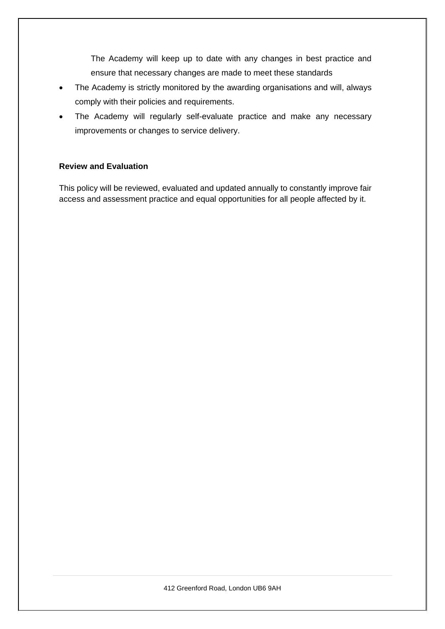The Academy will keep up to date with any changes in best practice and ensure that necessary changes are made to meet these standards

- The Academy is strictly monitored by the awarding organisations and will, always comply with their policies and requirements.
- The Academy will regularly self-evaluate practice and make any necessary improvements or changes to service delivery.

### **Review and Evaluation**

This policy will be reviewed, evaluated and updated annually to constantly improve fair access and assessment practice and equal opportunities for all people affected by it.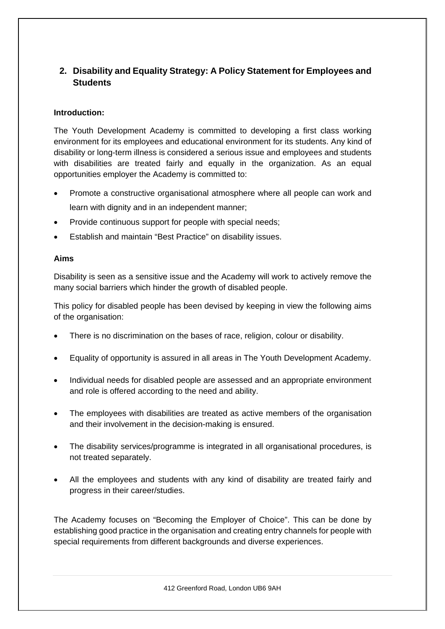## **2. Disability and Equality Strategy: A Policy Statement for Employees and Students**

### **Introduction:**

The Youth Development Academy is committed to developing a first class working environment for its employees and educational environment for its students. Any kind of disability or long-term illness is considered a serious issue and employees and students with disabilities are treated fairly and equally in the organization. As an equal opportunities employer the Academy is committed to:

- Promote a constructive organisational atmosphere where all people can work and learn with dignity and in an independent manner;
- Provide continuous support for people with special needs;
- Establish and maintain "Best Practice" on disability issues.

### **Aims**

Disability is seen as a sensitive issue and the Academy will work to actively remove the many social barriers which hinder the growth of disabled people.

This policy for disabled people has been devised by keeping in view the following aims of the organisation:

- There is no discrimination on the bases of race, religion, colour or disability.
- Equality of opportunity is assured in all areas in The Youth Development Academy.
- Individual needs for disabled people are assessed and an appropriate environment and role is offered according to the need and ability.
- The employees with disabilities are treated as active members of the organisation and their involvement in the decision-making is ensured.
- The disability services/programme is integrated in all organisational procedures, is not treated separately.
- All the employees and students with any kind of disability are treated fairly and progress in their career/studies.

The Academy focuses on "Becoming the Employer of Choice". This can be done by establishing good practice in the organisation and creating entry channels for people with special requirements from different backgrounds and diverse experiences.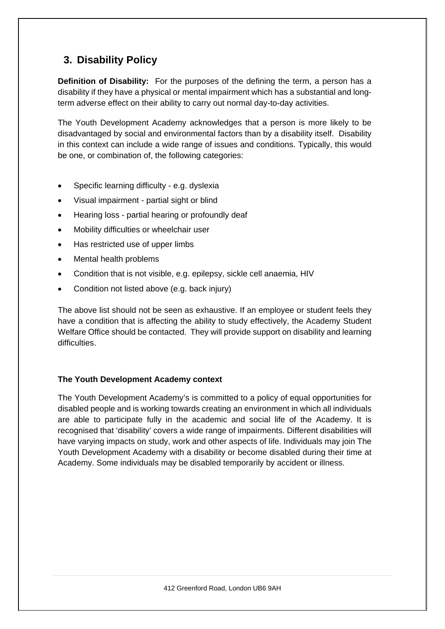# **3. Disability Policy**

**Definition of Disability:** For the purposes of the defining the term, a person has a disability if they have a physical or mental impairment which has a substantial and longterm adverse effect on their ability to carry out normal day-to-day activities.

The Youth Development Academy acknowledges that a person is more likely to be disadvantaged by social and environmental factors than by a disability itself. Disability in this context can include a wide range of issues and conditions. Typically, this would be one, or combination of, the following categories:

- Specific learning difficulty e.g. dyslexia
- Visual impairment partial sight or blind
- Hearing loss partial hearing or profoundly deaf
- Mobility difficulties or wheelchair user
- Has restricted use of upper limbs
- Mental health problems
- Condition that is not visible, e.g. epilepsy, sickle cell anaemia, HIV
- Condition not listed above (e.g. back injury)

The above list should not be seen as exhaustive. If an employee or student feels they have a condition that is affecting the ability to study effectively, the Academy Student Welfare Office should be contacted. They will provide support on disability and learning difficulties.

### **The Youth Development Academy context**

The Youth Development Academy's is committed to a policy of equal opportunities for disabled people and is working towards creating an environment in which all individuals are able to participate fully in the academic and social life of the Academy. It is recognised that 'disability' covers a wide range of impairments. Different disabilities will have varying impacts on study, work and other aspects of life. Individuals may join The Youth Development Academy with a disability or become disabled during their time at Academy. Some individuals may be disabled temporarily by accident or illness.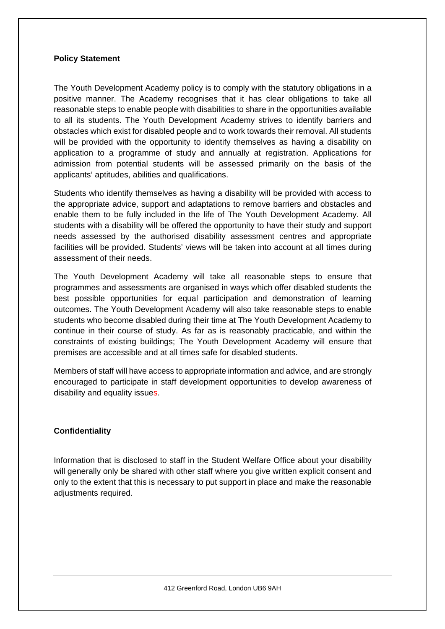### **Policy Statement**

The Youth Development Academy policy is to comply with the statutory obligations in a positive manner. The Academy recognises that it has clear obligations to take all reasonable steps to enable people with disabilities to share in the opportunities available to all its students. The Youth Development Academy strives to identify barriers and obstacles which exist for disabled people and to work towards their removal. All students will be provided with the opportunity to identify themselves as having a disability on application to a programme of study and annually at registration. Applications for admission from potential students will be assessed primarily on the basis of the applicants' aptitudes, abilities and qualifications.

Students who identify themselves as having a disability will be provided with access to the appropriate advice, support and adaptations to remove barriers and obstacles and enable them to be fully included in the life of The Youth Development Academy. All students with a disability will be offered the opportunity to have their study and support needs assessed by the authorised disability assessment centres and appropriate facilities will be provided. Students' views will be taken into account at all times during assessment of their needs.

The Youth Development Academy will take all reasonable steps to ensure that programmes and assessments are organised in ways which offer disabled students the best possible opportunities for equal participation and demonstration of learning outcomes. The Youth Development Academy will also take reasonable steps to enable students who become disabled during their time at The Youth Development Academy to continue in their course of study. As far as is reasonably practicable, and within the constraints of existing buildings; The Youth Development Academy will ensure that premises are accessible and at all times safe for disabled students.

Members of staff will have access to appropriate information and advice, and are strongly encouraged to participate in staff development opportunities to develop awareness of disability and equality issues.

### **Confidentiality**

Information that is disclosed to staff in the Student Welfare Office about your disability will generally only be shared with other staff where you give written explicit consent and only to the extent that this is necessary to put support in place and make the reasonable adjustments required.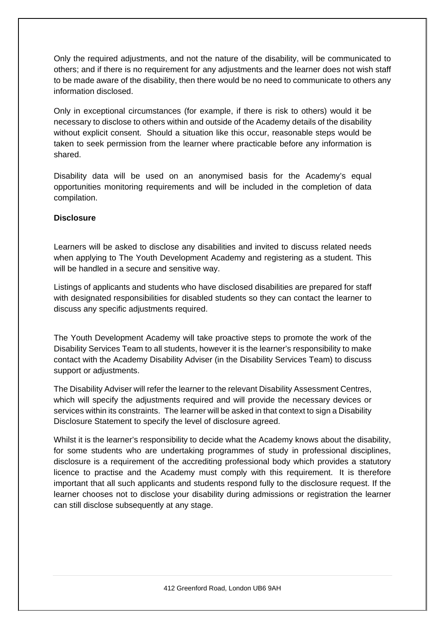Only the required adjustments, and not the nature of the disability, will be communicated to others; and if there is no requirement for any adjustments and the learner does not wish staff to be made aware of the disability, then there would be no need to communicate to others any information disclosed.

Only in exceptional circumstances (for example, if there is risk to others) would it be necessary to disclose to others within and outside of the Academy details of the disability without explicit consent. Should a situation like this occur, reasonable steps would be taken to seek permission from the learner where practicable before any information is shared.

Disability data will be used on an anonymised basis for the Academy's equal opportunities monitoring requirements and will be included in the completion of data compilation.

### **Disclosure**

Learners will be asked to disclose any disabilities and invited to discuss related needs when applying to The Youth Development Academy and registering as a student. This will be handled in a secure and sensitive way.

Listings of applicants and students who have disclosed disabilities are prepared for staff with designated responsibilities for disabled students so they can contact the learner to discuss any specific adjustments required.

The Youth Development Academy will take proactive steps to promote the work of the Disability Services Team to all students, however it is the learner's responsibility to make contact with the Academy Disability Adviser (in the Disability Services Team) to discuss support or adjustments.

The Disability Adviser will refer the learner to the relevant Disability Assessment Centres, which will specify the adjustments required and will provide the necessary devices or services within its constraints. The learner will be asked in that context to sign a Disability Disclosure Statement to specify the level of disclosure agreed.

Whilst it is the learner's responsibility to decide what the Academy knows about the disability, for some students who are undertaking programmes of study in professional disciplines, disclosure is a requirement of the accrediting professional body which provides a statutory licence to practise and the Academy must comply with this requirement. It is therefore important that all such applicants and students respond fully to the disclosure request. If the learner chooses not to disclose your disability during admissions or registration the learner can still disclose subsequently at any stage.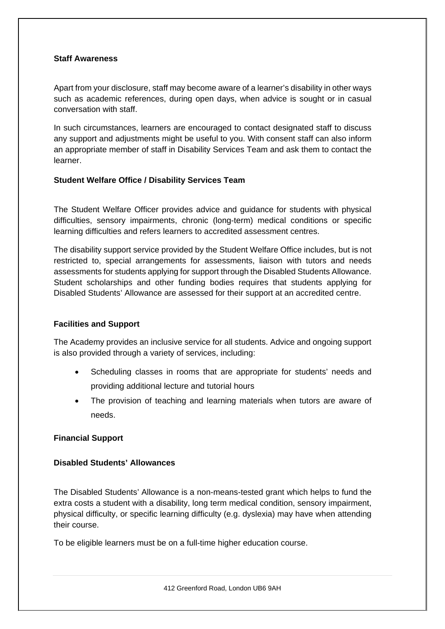### **Staff Awareness**

Apart from your disclosure, staff may become aware of a learner's disability in other ways such as academic references, during open days, when advice is sought or in casual conversation with staff.

In such circumstances, learners are encouraged to contact designated staff to discuss any support and adjustments might be useful to you. With consent staff can also inform an appropriate member of staff in Disability Services Team and ask them to contact the learner.

### **Student Welfare Office / Disability Services Team**

The Student Welfare Officer provides advice and guidance for students with physical difficulties, sensory impairments, chronic (long-term) medical conditions or specific learning difficulties and refers learners to accredited assessment centres.

The disability support service provided by the Student Welfare Office includes, but is not restricted to, special arrangements for assessments, liaison with tutors and needs assessments for students applying for support through the Disabled Students Allowance. Student scholarships and other funding bodies requires that students applying for Disabled Students' Allowance are assessed for their support at an accredited centre.

### **Facilities and Support**

The Academy provides an inclusive service for all students. Advice and ongoing support is also provided through a variety of services, including:

- Scheduling classes in rooms that are appropriate for students' needs and providing additional lecture and tutorial hours
- The provision of teaching and learning materials when tutors are aware of needs.

### **Financial Support**

### **Disabled Students' Allowances**

The Disabled Students' Allowance is a non-means-tested grant which helps to fund the extra costs a student with a disability, long term medical condition, sensory impairment, physical difficulty, or specific learning difficulty (e.g. dyslexia) may have when attending their course.

To be eligible learners must be on a full-time higher education course.